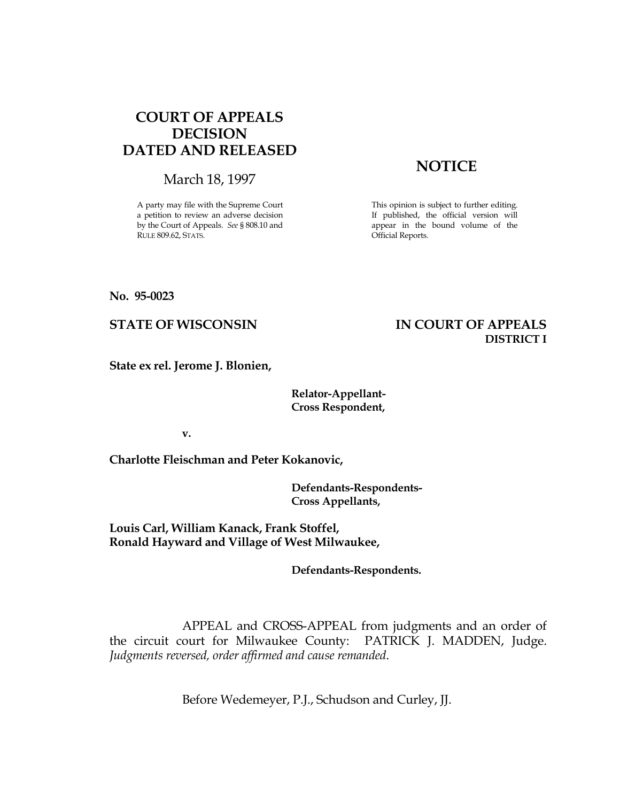## COURT OF APPEALS DECISION DATED AND RELEASED

March 18, 1997

A party may file with the Supreme Court a petition to review an adverse decision by the Court of Appeals. See § 808.10 and RULE 809.62, STATS.

# **NOTICE**

This opinion is subject to further editing. If published, the official version will appear in the bound volume of the Official Reports.

No. 95-0023

## STATE OF WISCONSIN IN COURT OF APPEALS DISTRICT I

State ex rel. Jerome J. Blonien,

#### Relator-Appellant- Cross Respondent,

v.

Charlotte Fleischman and Peter Kokanovic,

 Defendants-Respondents- Cross Appellants,

Louis Carl, William Kanack, Frank Stoffel, Ronald Hayward and Village of West Milwaukee,

Defendants-Respondents.

 APPEAL and CROSS-APPEAL from judgments and an order of the circuit court for Milwaukee County: PATRICK J. MADDEN, Judge. Judgments reversed, order affirmed and cause remanded.

Before Wedemeyer, P.J., Schudson and Curley, JJ.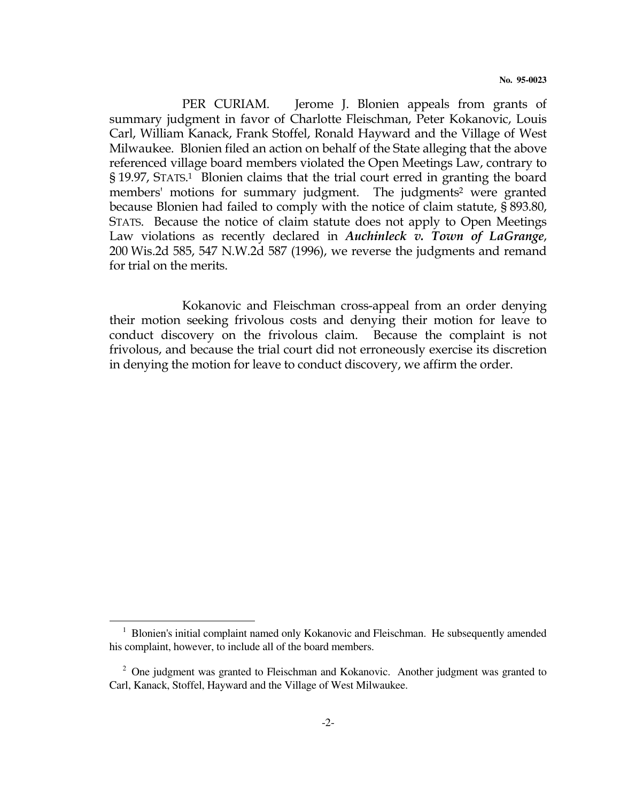PER CURIAM. Jerome J. Blonien appeals from grants of summary judgment in favor of Charlotte Fleischman, Peter Kokanovic, Louis Carl, William Kanack, Frank Stoffel, Ronald Hayward and the Village of West Milwaukee. Blonien filed an action on behalf of the State alleging that the above referenced village board members violated the Open Meetings Law, contrary to § 19.97, STATS. <sup>1</sup> Blonien claims that the trial court erred in granting the board members' motions for summary judgment. The judgments<sup>2</sup> were granted because Blonien had failed to comply with the notice of claim statute, § 893.80, STATS. Because the notice of claim statute does not apply to Open Meetings Law violations as recently declared in Auchinleck v. Town of LaGrange, 200 Wis.2d 585, 547 N.W.2d 587 (1996), we reverse the judgments and remand for trial on the merits.

 Kokanovic and Fleischman cross-appeal from an order denying their motion seeking frivolous costs and denying their motion for leave to conduct discovery on the frivolous claim. Because the complaint is not frivolous, and because the trial court did not erroneously exercise its discretion in denying the motion for leave to conduct discovery, we affirm the order.

 $\overline{a}$ 

<sup>&</sup>lt;sup>1</sup> Blonien's initial complaint named only Kokanovic and Fleischman. He subsequently amended his complaint, however, to include all of the board members.

 $2$  One judgment was granted to Fleischman and Kokanovic. Another judgment was granted to Carl, Kanack, Stoffel, Hayward and the Village of West Milwaukee.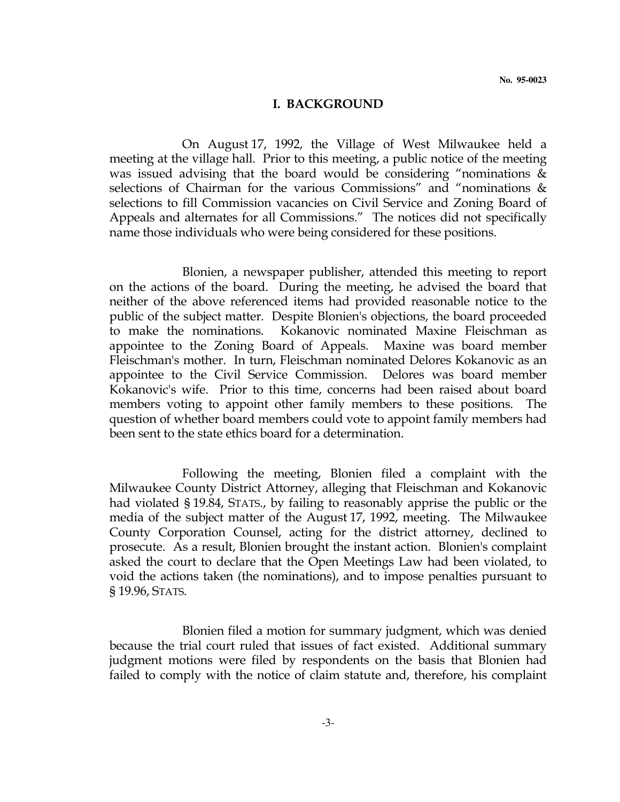#### I. BACKGROUND

 On August 17, 1992, the Village of West Milwaukee held a meeting at the village hall. Prior to this meeting, a public notice of the meeting was issued advising that the board would be considering "nominations & selections of Chairman for the various Commissions" and "nominations & selections to fill Commission vacancies on Civil Service and Zoning Board of Appeals and alternates for all Commissions." The notices did not specifically name those individuals who were being considered for these positions.

 Blonien, a newspaper publisher, attended this meeting to report on the actions of the board. During the meeting, he advised the board that neither of the above referenced items had provided reasonable notice to the public of the subject matter. Despite Blonien's objections, the board proceeded to make the nominations. Kokanovic nominated Maxine Fleischman as appointee to the Zoning Board of Appeals. Maxine was board member Fleischman's mother. In turn, Fleischman nominated Delores Kokanovic as an appointee to the Civil Service Commission. Delores was board member Kokanovic's wife. Prior to this time, concerns had been raised about board members voting to appoint other family members to these positions. The question of whether board members could vote to appoint family members had been sent to the state ethics board for a determination.

 Following the meeting, Blonien filed a complaint with the Milwaukee County District Attorney, alleging that Fleischman and Kokanovic had violated § 19.84, STATS., by failing to reasonably apprise the public or the media of the subject matter of the August 17, 1992, meeting. The Milwaukee County Corporation Counsel, acting for the district attorney, declined to prosecute. As a result, Blonien brought the instant action. Blonien's complaint asked the court to declare that the Open Meetings Law had been violated, to void the actions taken (the nominations), and to impose penalties pursuant to § 19.96, STATS.

 Blonien filed a motion for summary judgment, which was denied because the trial court ruled that issues of fact existed. Additional summary judgment motions were filed by respondents on the basis that Blonien had failed to comply with the notice of claim statute and, therefore, his complaint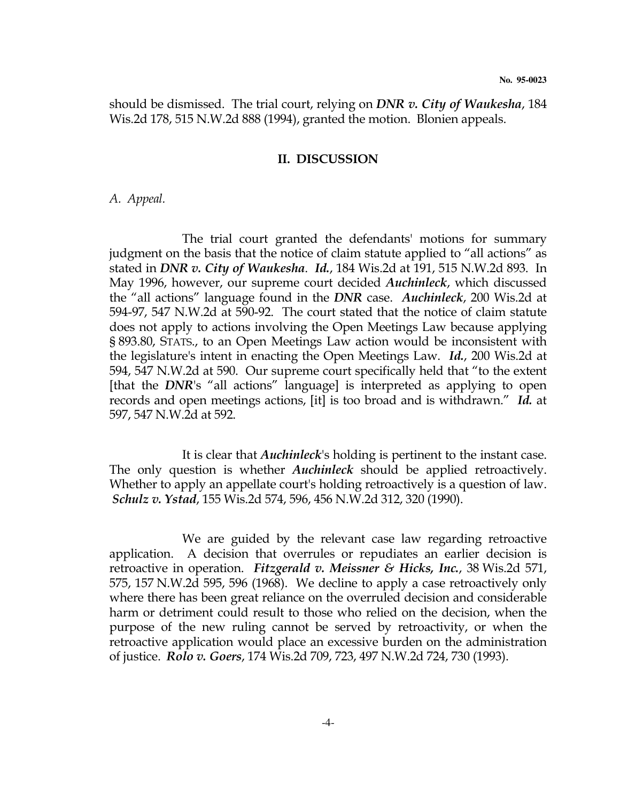should be dismissed. The trial court, relying on DNR v. City of Waukesha, 184 Wis.2d 178, 515 N.W.2d 888 (1994), granted the motion. Blonien appeals.

#### II. DISCUSSION

#### A. Appeal.

 The trial court granted the defendants' motions for summary judgment on the basis that the notice of claim statute applied to "all actions" as stated in DNR v. City of Waukesha. Id., 184 Wis.2d at 191, 515 N.W.2d 893. In May 1996, however, our supreme court decided *Auchinleck*, which discussed the "all actions" language found in the DNR case. Auchinleck, 200 Wis.2d at 594-97, 547 N.W.2d at 590-92. The court stated that the notice of claim statute does not apply to actions involving the Open Meetings Law because applying § 893.80, STATS., to an Open Meetings Law action would be inconsistent with the legislature's intent in enacting the Open Meetings Law. Id., 200 Wis.2d at 594, 547 N.W.2d at 590. Our supreme court specifically held that "to the extent [that the DNR's "all actions" language] is interpreted as applying to open records and open meetings actions, [it] is too broad and is withdrawn." Id. at 597, 547 N.W.2d at 592.

It is clear that *Auchinleck's* holding is pertinent to the instant case. The only question is whether *Auchinleck* should be applied retroactively. Whether to apply an appellate court's holding retroactively is a question of law. Schulz v. Ystad, 155 Wis.2d 574, 596, 456 N.W.2d 312, 320 (1990).

 We are guided by the relevant case law regarding retroactive application. A decision that overrules or repudiates an earlier decision is retroactive in operation. Fitzgerald v. Meissner & Hicks, Inc., 38 Wis.2d 571, 575, 157 N.W.2d 595, 596 (1968). We decline to apply a case retroactively only where there has been great reliance on the overruled decision and considerable harm or detriment could result to those who relied on the decision, when the purpose of the new ruling cannot be served by retroactivity, or when the retroactive application would place an excessive burden on the administration of justice. Rolo v. Goers, 174 Wis.2d 709, 723, 497 N.W.2d 724, 730 (1993).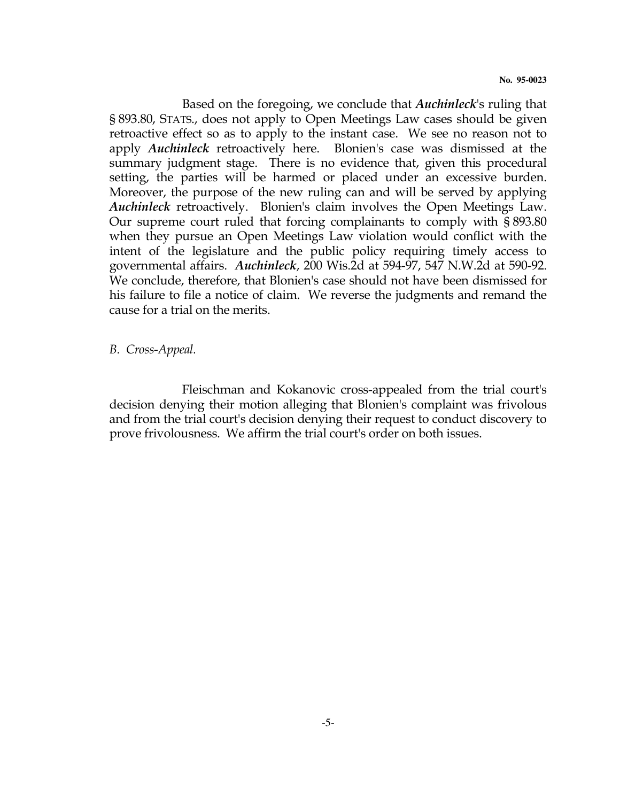Based on the foregoing, we conclude that *Auchinleck's* ruling that § 893.80, STATS., does not apply to Open Meetings Law cases should be given retroactive effect so as to apply to the instant case. We see no reason not to apply *Auchinleck* retroactively here. Blonien's case was dismissed at the summary judgment stage. There is no evidence that, given this procedural setting, the parties will be harmed or placed under an excessive burden. Moreover, the purpose of the new ruling can and will be served by applying Auchinleck retroactively. Blonien's claim involves the Open Meetings Law. Our supreme court ruled that forcing complainants to comply with § 893.80 when they pursue an Open Meetings Law violation would conflict with the intent of the legislature and the public policy requiring timely access to governmental affairs. Auchinleck, 200 Wis.2d at 594-97, 547 N.W.2d at 590-92. We conclude, therefore, that Blonien's case should not have been dismissed for his failure to file a notice of claim. We reverse the judgments and remand the cause for a trial on the merits.

B. Cross-Appeal.

 Fleischman and Kokanovic cross-appealed from the trial court's decision denying their motion alleging that Blonien's complaint was frivolous and from the trial court's decision denying their request to conduct discovery to prove frivolousness. We affirm the trial court's order on both issues.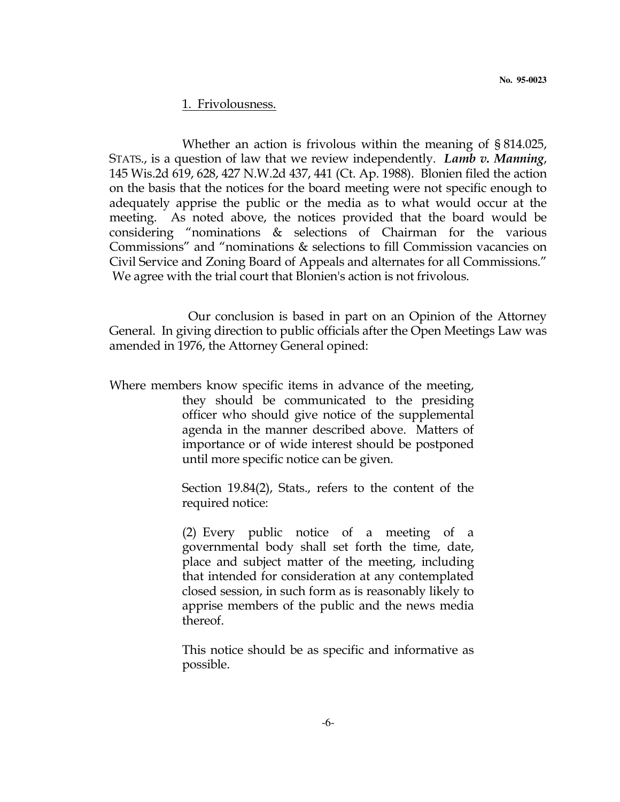#### 1. Frivolousness.

 Whether an action is frivolous within the meaning of § 814.025, STATS., is a question of law that we review independently. Lamb v. Manning, 145 Wis.2d 619, 628, 427 N.W.2d 437, 441 (Ct. Ap. 1988). Blonien filed the action on the basis that the notices for the board meeting were not specific enough to adequately apprise the public or the media as to what would occur at the meeting. As noted above, the notices provided that the board would be considering "nominations & selections of Chairman for the various Commissions" and "nominations & selections to fill Commission vacancies on Civil Service and Zoning Board of Appeals and alternates for all Commissions." We agree with the trial court that Blonien's action is not frivolous.

 Our conclusion is based in part on an Opinion of the Attorney General. In giving direction to public officials after the Open Meetings Law was amended in 1976, the Attorney General opined:

Where members know specific items in advance of the meeting, they should be communicated to the presiding officer who should give notice of the supplemental agenda in the manner described above. Matters of importance or of wide interest should be postponed until more specific notice can be given.

> Section 19.84(2), Stats., refers to the content of the required notice:

> (2) Every public notice of a meeting of a governmental body shall set forth the time, date, place and subject matter of the meeting, including that intended for consideration at any contemplated closed session, in such form as is reasonably likely to apprise members of the public and the news media thereof.

> This notice should be as specific and informative as possible.